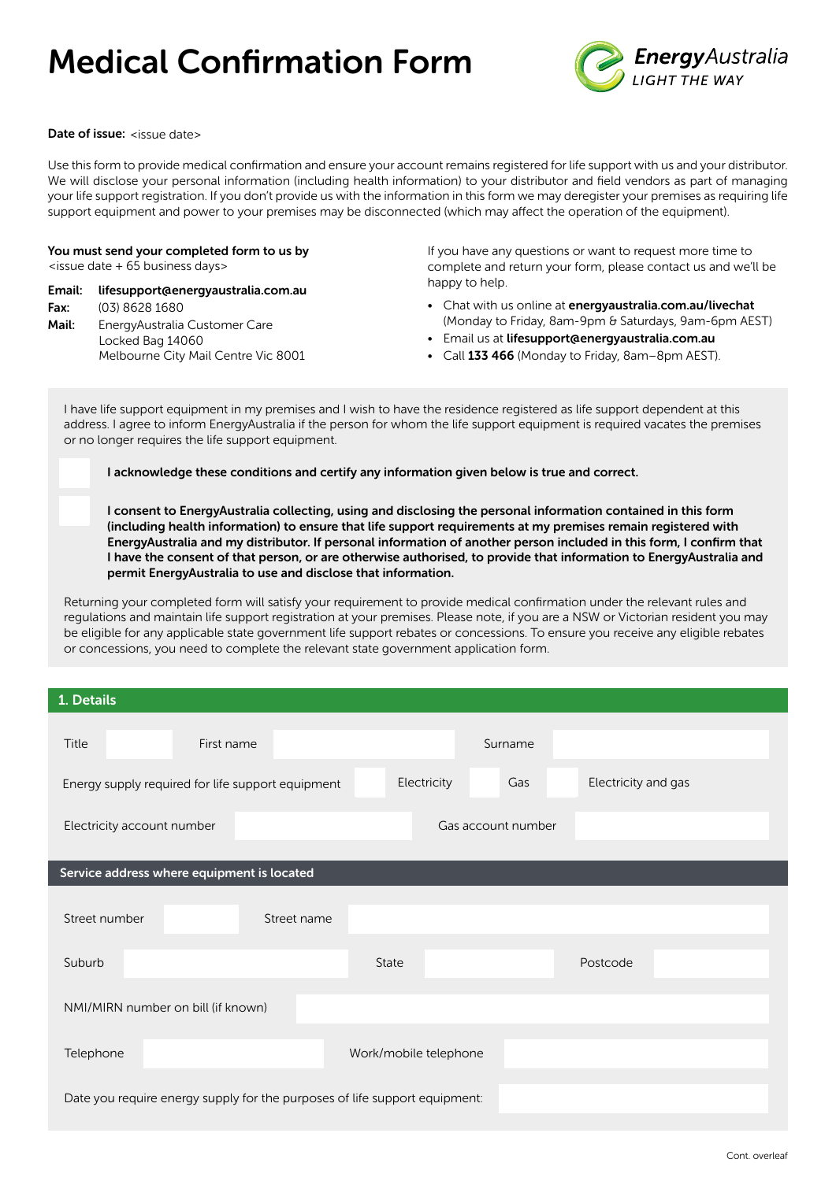# Medical Confirmation Form



#### Date of issue: <issue date>

Use this form to provide medical confirmation and ensure your account remains registered for life support with us and your distributor. We will disclose your personal information (including health information) to your distributor and field vendors as part of managing your life support registration. If you don't provide us with the information in this form we may deregister your premises as requiring life support equipment and power to your premises may be disconnected (which may affect the operation of the equipment).

You must send your completed form to us by <issue date + 65 business days>

Email: [lifesupport@energyaustralia.com.au](mailto:lifesupport@energyaustralia.com.au)

Fax: (03) 8628 1680 Mail: EnergyAustralia Customer Care Locked Bag 14060 Melbourne City Mail Centre Vic 8001 If you have any questions or want to request more time to complete and return your form, please contact us and we'll be happy to help.

- Chat with us online at [energyaustralia.com.au/livechat](http://www.energyaustralia.com.au/livechat)  (Monday to Friday, 8am-9pm & Saturdays, 9am-6pm AEST)
- Email us at [lifesupport@energyaustralia.com.au](mailto:lifesupport@energyaustralia.com.au)
- Call [133 466](tel:133466) (Monday to Friday, 8am-8pm AEST).

I have life support equipment in my premises and I wish to have the residence registered as life support dependent at this address. I agree to inform EnergyAustralia if the person for whom the life support equipment is required vacates the premises or no longer requires the life support equipment.

I acknowledge these conditions and certify any information given below is true and correct.

I consent to EnergyAustralia collecting, using and disclosing the personal information contained in this form (including health information) to ensure that life support requirements at my premises remain registered with EnergyAustralia and my distributor. If personal information of another person included in this form, I confirm that I have the consent of that person, or ar[e otherwise authorised, to provide tha](mailto:lifesupport@energyaustralia.com.au)t information to EnergyAustralia and permit EnergyAustralia to use and disclose that information.

Returning your completed form will satisfy your requirement to provide medical confirmation under the relevant rules and regulations and maintain life support registration at your premises. Please note, if you are a NSW or Victorian resident you may be eligible for any applicable state government life support rebates or concessions. To ensure you receive any eligible rebates or concessions, you need to complete the relevant state government application form.

| 1. Details                                                                 |                                           |  |  |  |  |
|----------------------------------------------------------------------------|-------------------------------------------|--|--|--|--|
| Title<br>First name                                                        | Surname                                   |  |  |  |  |
| Energy supply required for life support equipment                          | Electricity<br>Electricity and gas<br>Gas |  |  |  |  |
| Gas account number<br>Electricity account number                           |                                           |  |  |  |  |
| Service address where equipment is located                                 |                                           |  |  |  |  |
| Street number<br>Street name                                               |                                           |  |  |  |  |
| Suburb                                                                     | State<br>Postcode                         |  |  |  |  |
| NMI/MIRN number on bill (if known)                                         |                                           |  |  |  |  |
| Telephone                                                                  | Work/mobile telephone                     |  |  |  |  |
| Date you require energy supply for the purposes of life support equipment: |                                           |  |  |  |  |